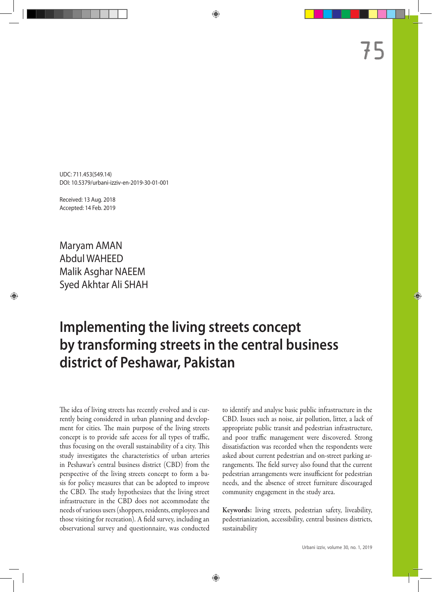UDC: 711.453(549.14) DOI: 10.5379/urbani-izziv-en-2019-30-01-001

Received: 13 Aug. 2018 Accepted: 14 Feb. 2019

Maryam AMAN Abdul WAHEED Malik Asghar NAEEM Syed Akhtar Ali SHAH

# **Implementing the living streets concept by transforming streets in the central business district of Peshawar, Pakistan**

The idea of living streets has recently evolved and is currently being considered in urban planning and development for cities. The main purpose of the living streets concept is to provide safe access for all types of traffic, thus focusing on the overall sustainability of a city. This study investigates the characteristics of urban arteries in Peshawar's central business district (CBD) from the perspective of the living streets concept to form a basis for policy measures that can be adopted to improve the CBD. The study hypothesizes that the living street infrastructure in the CBD does not accommodate the needs of various users (shoppers, residents, employees and those visiting for recreation). A field survey, including an observational survey and questionnaire, was conducted

to identify and analyse basic public infrastructure in the CBD. Issues such as noise, air pollution, litter, a lack of appropriate public transit and pedestrian infrastructure, and poor traffic management were discovered. Strong dissatisfaction was recorded when the respondents were asked about current pedestrian and on-street parking arrangements. The field survey also found that the current pedestrian arrangements were insufficient for pedestrian needs, and the absence of street furniture discouraged community engagement in the study area.

Keywords: living streets, pedestrian safety, liveability, pedestrianization, accessibility, central business districts, sustainability

75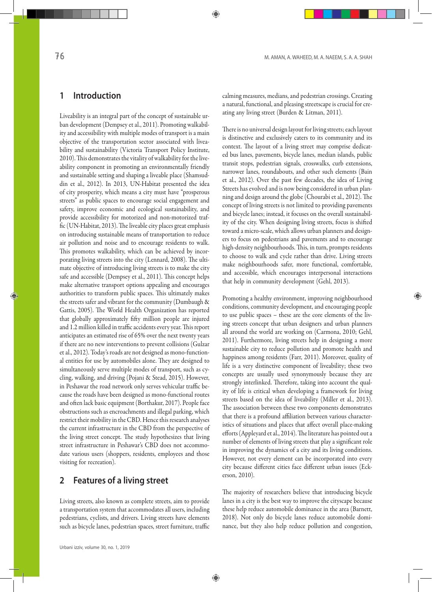## **1 Introduction**

Liveability is an integral part of the concept of sustainable urban development (Dempsey et al., 2011). Promoting walkability and accessibility with multiple modes of transport is a main objective of the transportation sector associated with liveability and sustainability (Victoria Transport Policy Institute, 2010). This demonstrates the vitality of walkability for the liveability component in promoting an environmentally friendly and sustainable setting and shaping a liveable place (Shamsuddin et al., 2012). In 2013, UN-Habitat presented the idea of city prosperity, which means a city must have "prosperous streets" as public spaces to encourage social engagement and safety, improve economic and ecological sustainability, and provide accessibility for motorized and non-motorized traffic (UN-Habitat, 2013). The liveable city places great emphasis on introducing sustainable means of transportation to reduce air pollution and noise and to encourage residents to walk. This promotes walkability, which can be achieved by incorporating living streets into the city (Lennard, 2008). The ultimate objective of introducing living streets is to make the city safe and accessible (Dempsey et al., 2011). This concept helps make alternative transport options appealing and encourages authorities to transform public spaces. This ultimately makes the streets safer and vibrant for the community (Dumbaugh & Gattis, 2005). The World Health Organization has reported that globally approximately fifty million people are injured and 1.2 million killed in traffic accidents every year. This report anticipates an estimated rise of 65% over the next twenty years if there are no new interventions to prevent collisions (Gulzar et al., 2012). Today's roads are not designed as mono-functional entities for use by automobiles alone. They are designed to simultaneously serve multiple modes of transport, such as cycling, walking, and driving (Pojani & Stead, 2015). However, in Peshawar the road network only serves vehicular traffic because the roads have been designed as mono-functional routes and often lack basic equipment (Borthakur, 2017). People face obstructions such as encroachments and illegal parking, which restrict their mobility in the CBD. Hence this research analyses the current infrastructure in the CBD from the perspective of the living street concept. The study hypothesizes that living street infrastructure in Peshawar's CBD does not accommodate various users (shoppers, residents, employees and those visiting for recreation).

### **2 Features of a living street**

Living streets, also known as complete streets, aim to provide a transportation system that accommodates all users, including pedestrians, cyclists, and drivers. Living streets have elements such as bicycle lanes, pedestrian spaces, street furniture, traffic calming measures, medians, and pedestrian crossings. Creating a natural, functional, and pleasing streetscape is crucial for creating any living street (Burden & Litman, 2011).

There is no universal design layout for living streets; each layout is distinctive and exclusively caters to its community and its context. The layout of a living street may comprise dedicated bus lanes, pavements, bicycle lanes, median islands, public transit stops, pedestrian signals, crosswalks, curb extensions, narrower lanes, roundabouts, and other such elements (Bain et al., 2012). Over the past few decades, the idea of Living Streets has evolved and is now being considered in urban planning and design around the globe (Chourabi et al., 2012). The concept of living streets is not limited to providing pavements and bicycle lanes; instead, it focuses on the overall sustainability of the city. When designing living streets, focus is shifted toward a micro-scale, which allows urban planners and designers to focus on pedestrians and pavements and to encourage high-density neighbourhoods. This, in turn, prompts residents to choose to walk and cycle rather than drive. Living streets make neighbourhoods safer, more functional, comfortable, and accessible, which encourages interpersonal interactions that help in community development (Gehl, 2013).

Promoting a healthy environment, improving neighbourhood conditions, community development, and encouraging people to use public spaces – these are the core elements of the living streets concept that urban designers and urban planners all around the world are working on (Carmona, 2010; Gehl, 2011). Furthermore, living streets help in designing a more sustainable city to reduce pollution and promote health and happiness among residents (Farr, 2011). Moreover, quality of life is a very distinctive component of liveability; these two concepts are usually used synonymously because they are strongly interlinked. Therefore, taking into account the quality of life is critical when developing a framework for living streets based on the idea of liveability (Miller et al., 2013). The association between these two components demonstrates that there is a profound affiliation between various characteristics of situations and places that affect overall place-making efforts (Appleyard et al., 2014). The literature has pointed out a number of elements of living streets that play a significant role in improving the dynamics of a city and its living conditions. However, not every element can be incorporated into every city because different cities face different urban issues (Eckerson, 2010).

The majority of researchers believe that introducing bicycle lanes in a city is the best way to improve the cityscape because these help reduce automobile dominance in the area (Barnett, 2018). Not only do bicycle lanes reduce automobile dominance, but they also help reduce pollution and congestion,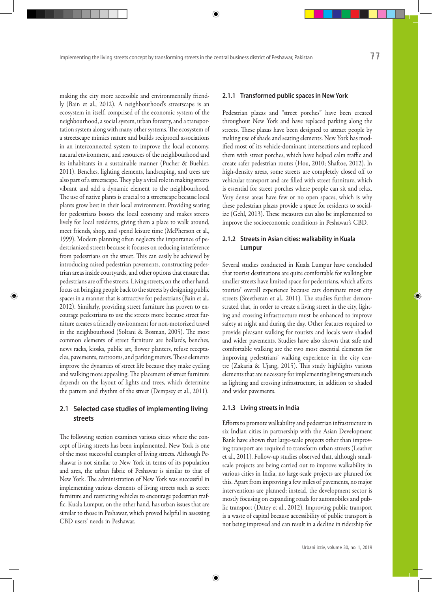making the city more accessible and environmentally friendly (Bain et al., 2012). A neighbourhood's streetscape is an ecosystem in itself, comprised of the economic system of the neighbourhood, a social system, urban forestry, and a transportation system along with many other systems. The ecosystem of a streetscape mimics nature and builds reciprocal associations in an interconnected system to improve the local economy, natural environment, and resources of the neighbourhood and its inhabitants in a sustainable manner (Pucher & Buehler, 2011). Benches, lighting elements, landscaping, and trees are also part of a streetscape. They play a vital role in making streets vibrant and add a dynamic element to the neighbourhood. The use of native plants is crucial to a streetscape because local plants grow best in their local environment. Providing seating for pedestrians boosts the local economy and makes streets lively for local residents, giving them a place to walk around, meet friends, shop, and spend leisure time (McPherson et al., 1999). Modern planning often neglects the importance of pedestrianized streets because it focuses on reducing interference from pedestrians on the street. This can easily be achieved by introducing raised pedestrian pavements, constructing pedestrian areas inside courtyards, and other options that ensure that pedestrians are off the streets. Living streets, on the other hand, focus on bringing people back to the streets by designing public spaces in a manner that is attractive for pedestrians (Bain et al., 2012). Similarly, providing street furniture has proven to encourage pedestrians to use the streets more because street furniture creates a friendly environment for non-motorized travel in the neighbourhood (Soltani & Bosman, 2005). The most common elements of street furniture are bollards, benches, news racks, kiosks, public art, flower planters, refuse receptacles, pavements, restrooms, and parking meters. These elements improve the dynamics of street life because they make cycling and walking more appealing. The placement of street furniture depends on the layout of lights and trees, which determine the pattern and rhythm of the street (Dempsey et al., 2011).

### **2.1 Selected case studies of implementing living streets**

The following section examines various cities where the concept of living streets has been implemented. New York is one of the most successful examples of living streets. Although Peshawar is not similar to New York in terms of its population and area, the urban fabric of Peshawar is similar to that of New York. The administration of New York was successful in implementing various elements of living streets such as street furniture and restricting vehicles to encourage pedestrian traffic. Kuala Lumpur, on the other hand, has urban issues that are similar to those in Peshawar, which proved helpful in assessing CBD users' needs in Peshawar.

### **2.1.1 Transformed public spaces in New York**

Pedestrian plazas and "street porches" have been created throughout New York and have replaced parking along the streets. These plazas have been designed to attract people by making use of shade and seating elements. New York has modified most of its vehicle-dominant intersections and replaced them with street porches, which have helped calm traffic and create safer pedestrian routes (Hou, 2010; Shaftoe, 2012). In high-density areas, some streets are completely closed off to vehicular transport and are filled with street furniture, which is essential for street porches where people can sit and relax. Very dense areas have few or no open spaces, which is why these pedestrian plazas provide a space for residents to socialize (Gehl, 2013). These measures can also be implemented to improve the socioeconomic conditions in Peshawar's CBD.

### **2.1.2 Streets in Asian cities: walkability in Kuala Lumpur**

Several studies conducted in Kuala Lumpur have concluded that tourist destinations are quite comfortable for walking but smaller streets have limited space for pedestrians, which affects tourists' overall experience because cars dominate most city streets (Sreetheran et al., 2011). The studies further demonstrated that, in order to create a living street in the city, lighting and crossing infrastructure must be enhanced to improve safety at night and during the day. Other features required to provide pleasant walking for tourists and locals were shaded and wider pavements. Studies have also shown that safe and comfortable walking are the two most essential elements for improving pedestrians' walking experience in the city centre (Zakaria & Ujang, 2015). This study highlights various elements that are necessary for implementing living streets such as lighting and crossing infrastructure, in addition to shaded and wider pavements.

### **2.1.3 Living streets in India**

Efforts to promote walkability and pedestrian infrastructure in six Indian cities in partnership with the Asian Development Bank have shown that large-scale projects other than improving transport are required to transform urban streets (Leather et al., 2011). Follow-up studies observed that, although smallscale projects are being carried out to improve walkability in various cities in India, no large-scale projects are planned for this. Apart from improving a few miles of pavements, no major interventions are planned; instead, the development sector is mostly focusing on expanding roads for automobiles and public transport (Datey et al., 2012). Improving public transport is a waste of capital because accessibility of public transport is not being improved and can result in a decline in ridership for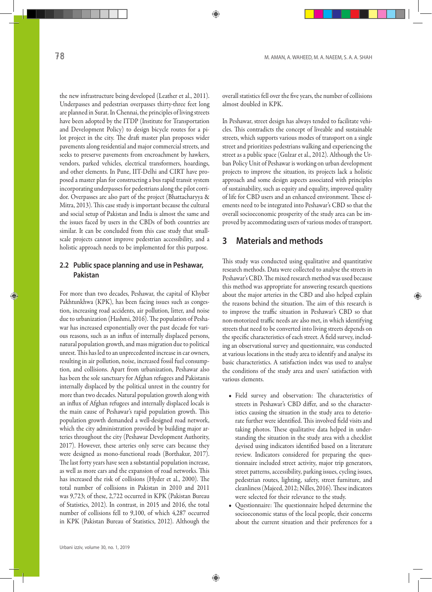the new infrastructure being developed (Leather et al., 2011). Underpasses and pedestrian overpasses thirty-three feet long are planned in Surat. In Chennai, the principles of living streets have been adopted by the ITDP (Institute for Transportation and Development Policy) to design bicycle routes for a pilot project in the city. The draft master plan proposes wider pavements along residential and major commercial streets, and seeks to preserve pavements from encroachment by hawkers, vendors, parked vehicles, electrical transformers, hoardings, and other elements. In Pune, IIT-Delhi and CIRT have proposed a master plan for constructing a bus rapid transit system incorporating underpasses for pedestrians along the pilot corridor. Overpasses are also part of the project (Bhattacharyya & Mitra, 2013). This case study is important because the cultural and social setup of Pakistan and India is almost the same and the issues faced by users in the CBDs of both countries are similar. It can be concluded from this case study that smallscale projects cannot improve pedestrian accessibility, and a holistic approach needs to be implemented for this purpose.

### **2.2 Public space planning and use in Peshawar, Pakistan**

For more than two decades, Peshawar, the capital of Khyber Pakhtunkhwa (KPK), has been facing issues such as congestion, increasing road accidents, air pollution, litter, and noise due to urbanization (Hashmi, 2016). The population of Peshawar has increased exponentially over the past decade for various reasons, such as an influx of internally displaced persons, natural population growth, and mass migration due to political unrest. This has led to an unprecedented increase in car owners, resulting in air pollution, noise, increased fossil fuel consumption, and collisions. Apart from urbanization, Peshawar also has been the sole sanctuary for Afghan refugees and Pakistanis internally displaced by the political unrest in the country for more than two decades. Natural population growth along with an influx of Afghan refugees and internally displaced locals is the main cause of Peshawar's rapid population growth. This population growth demanded a well-designed road network, which the city administration provided by building major arteries throughout the city (Peshawar Development Authority, 2017). However, these arteries only serve cars because they were designed as mono-functional roads (Borthakur, 2017). The last forty years have seen a substantial population increase, as well as more cars and the expansion of road networks. This has increased the risk of collisions (Hyder et al., 2000). The total number of collisions in Pakistan in 2010 and 2011 was 9,723; of these, 2,722 occurred in KPK (Pakistan Bureau of Statistics, 2012). In contrast, in 2015 and 2016, the total number of collisions fell to 9,100, of which 4,287 occurred in KPK (Pakistan Bureau of Statistics, 2012). Although the overall statistics fell over the five years, the number of collisions almost doubled in KPK.

In Peshawar, street design has always tended to facilitate vehicles. This contradicts the concept of liveable and sustainable streets, which supports various modes of transport on a single street and prioritizes pedestrians walking and experiencing the street as a public space (Gulzar et al., 2012). Although the Urban Policy Unit of Peshawar is working on urban development projects to improve the situation, its projects lack a holistic approach and some design aspects associated with principles of sustainability, such as equity and equality, improved quality of life for CBD users and an enhanced environment. These elements need to be integrated into Peshawar's CBD so that the overall socioeconomic prosperity of the study area can be improved by accommodating users of various modes of transport.

# **3 Materials and methods**

This study was conducted using qualitative and quantitative research methods. Data were collected to analyse the streets in Peshawar's CBD. The mixed research method was used because this method was appropriate for answering research questions about the major arteries in the CBD and also helped explain the reasons behind the situation. The aim of this research is to improve the traffic situation in Peshawar's CBD so that non-motorized traffic needs are also met, in which identifying streets that need to be converted into living streets depends on the specific characteristics of each street. A field survey, including an observational survey and questionnaire, was conducted at various locations in the study area to identify and analyse its basic characteristics. A satisfaction index was used to analyse the conditions of the study area and users' satisfaction with various elements.

- Field survey and observation: The characteristics of streets in Peshawar's CBD differ, and so the characteristics causing the situation in the study area to deteriorate further were identified. This involved field visits and taking photos. These qualitative data helped in understanding the situation in the study area with a checklist devised using indicators identified based on a literature review. Indicators considered for preparing the questionnaire included street activity, major trip generators, street patterns, accessibility, parking issues, cycling issues, pedestrian routes, lighting, safety, street furniture, and cleanliness (Majeed, 2012; Nilles, 2016). These indicators were selected for their relevance to the study.
- Questionnaire: The questionnaire helped determine the socioeconomic status of the local people, their concerns about the current situation and their preferences for a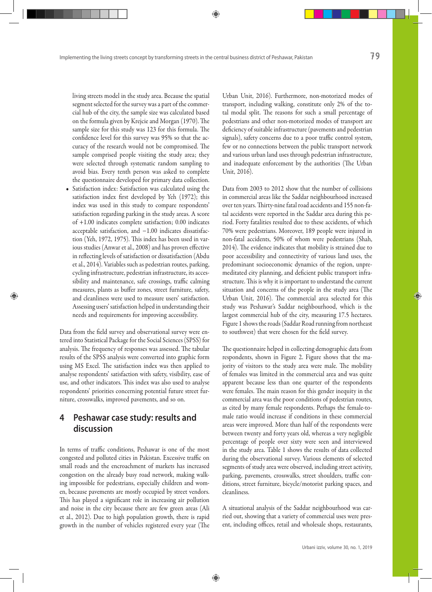living streets model in the study area. Because the spatial segment selected for the survey was a part of the commercial hub of the city, the sample size was calculated based on the formula given by Krejcie and Morgan (1970). The sample size for this study was 123 for this formula. The confidence level for this survey was 95% so that the accuracy of the research would not be compromised. The sample comprised people visiting the study area; they were selected through systematic random sampling to avoid bias. Every tenth person was asked to complete the questionnaire developed for primary data collection.

• Satisfaction index: Satisfaction was calculated using the satisfaction index first developed by Yeh (1972); this index was used in this study to compare respondents' satisfaction regarding parking in the study areas. A score of +1.00 indicates complete satisfaction; 0.00 indicates acceptable satisfaction, and −1.00 indicates dissatisfaction (Yeh, 1972, 1975). This index has been used in various studies (Anwar et al., 2008) and has proven effective in reflecting levels of satisfaction or dissatisfaction (Abdu et al., 2014). Variables such as pedestrian routes, parking, cycling infrastructure, pedestrian infrastructure, its accessibility and maintenance, safe crossings, traffic calming measures, plants as buffer zones, street furniture, safety, and cleanliness were used to measure users' satisfaction. Assessing users' satisfaction helped in understanding their needs and requirements for improving accessibility.

Data from the field survey and observational survey were entered into Statistical Package for the Social Sciences (SPSS) for analysis. The frequency of responses was assessed. The tabular results of the SPSS analysis were converted into graphic form using MS Excel. The satisfaction index was then applied to analyse respondents' satisfaction with safety, visibility, ease of use, and other indicators. This index was also used to analyse respondents' priorities concerning potential future street furniture, crosswalks, improved pavements, and so on.

# **4 Peshawar case study: results and discussion**

In terms of traffic conditions, Peshawar is one of the most congested and polluted cities in Pakistan. Excessive traffic on small roads and the encroachment of markets has increased congestion on the already busy road network, making walking impossible for pedestrians, especially children and women, because pavements are mostly occupied by street vendors. This has played a significant role in increasing air pollution and noise in the city because there are few green areas (Ali et al., 2012). Due to high population growth, there is rapid growth in the number of vehicles registered every year (The

Urban Unit, 2016). Furthermore, non-motorized modes of transport, including walking, constitute only 2% of the total modal split. The reasons for such a small percentage of pedestrians and other non-motorized modes of transport are deficiency of suitable infrastructure (pavements and pedestrian signals), safety concerns due to a poor traffic control system, few or no connections between the public transport network and various urban land uses through pedestrian infrastructure, and inadequate enforcement by the authorities (The Urban Unit, 2016).

Data from 2003 to 2012 show that the number of collisions in commercial areas like the Saddar neighbourhood increased over ten years. Thirty-nine fatal road accidents and 155 non-fatal accidents were reported in the Saddar area during this period. Forty fatalities resulted due to these accidents, of which 70% were pedestrians. Moreover, 189 people were injured in non-fatal accidents, 50% of whom were pedestrians (Shah, 2014). The evidence indicates that mobility is strained due to poor accessibility and connectivity of various land uses, the predominant socioeconomic dynamics of the region, unpremeditated city planning, and deficient public transport infrastructure. This is why it is important to understand the current situation and concerns of the people in the study area (The Urban Unit, 2016). The commercial area selected for this study was Peshawar's Saddar neighbourhood, which is the largest commercial hub of the city, measuring 17.5 hectares. Figure 1 shows the roads (Saddar Road running from northeast to southwest) that were chosen for the field survey.

The questionnaire helped in collecting demographic data from respondents, shown in Figure 2. Figure shows that the majority of visitors to the study area were male. The mobility of females was limited in the commercial area and was quite apparent because less than one quarter of the respondents were females. The main reason for this gender inequity in the commercial area was the poor conditions of pedestrian routes, as cited by many female respondents. Perhaps the female-tomale ratio would increase if conditions in these commercial areas were improved. More than half of the respondents were between twenty and forty years old, whereas a very negligible percentage of people over sixty were seen and interviewed in the study area. Table 1 shows the results of data collected during the observational survey. Various elements of selected segments of study area were observed, including street activity, parking, pavements, crosswalks, street shoulders, traffic conditions, street furniture, bicycle/motorist parking spaces, and cleanliness.

A situational analysis of the Saddar neighbourhood was carried out, showing that a variety of commercial uses were present, including offices, retail and wholesale shops, restaurants,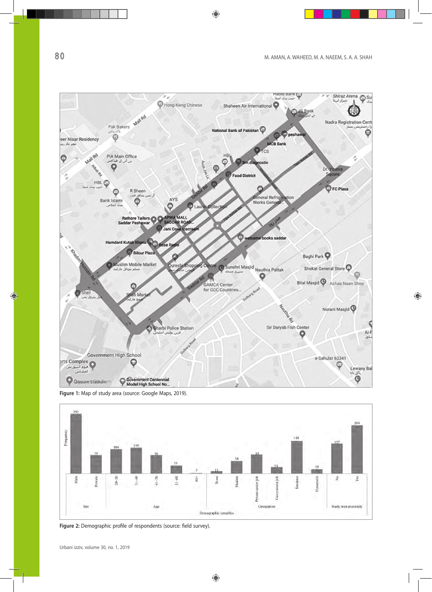

**Figure 1:** Map of study area (source: Google Maps, 2019).



**Figure 2:** Demographic profile of respondents (source: field survey).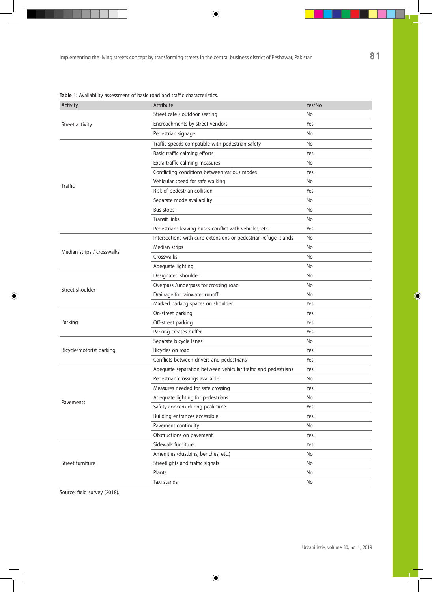| Activity                   | Attribute                                                       | Yes/No |
|----------------------------|-----------------------------------------------------------------|--------|
| Street activity            | Street cafe / outdoor seating                                   | No     |
|                            | Encroachments by street vendors                                 | Yes    |
|                            | Pedestrian signage                                              | No     |
| Traffic                    | Traffic speeds compatible with pedestrian safety                | No     |
|                            | Basic traffic calming efforts                                   | Yes    |
|                            | Extra traffic calming measures                                  | No     |
|                            | Conflicting conditions between various modes                    | Yes    |
|                            | Vehicular speed for safe walking                                | No     |
|                            | Risk of pedestrian collision                                    | Yes    |
|                            | Separate mode availability                                      | No     |
|                            | Bus stops                                                       | No     |
|                            | <b>Transit links</b>                                            | No     |
|                            | Pedestrians leaving buses conflict with vehicles, etc.          | Yes    |
| Median strips / crosswalks | Intersections with curb extensions or pedestrian refuge islands | No     |
|                            | Median strips                                                   | No     |
|                            | Crosswalks                                                      | No     |
|                            | Adequate lighting                                               | No     |
| Street shoulder            | Designated shoulder                                             | No     |
|                            | Overpass /underpass for crossing road                           | No     |
|                            | Drainage for rainwater runoff                                   | No     |
|                            | Marked parking spaces on shoulder                               | Yes    |
| Parking                    | On-street parking                                               | Yes    |
|                            | Off-street parking                                              | Yes    |
|                            | Parking creates buffer                                          | Yes    |
| Bicycle/motorist parking   | Separate bicycle lanes                                          | No     |
|                            | Bicycles on road                                                | Yes    |
|                            | Conflicts between drivers and pedestrians                       | Yes    |
| Pavements                  | Adequate separation between vehicular traffic and pedestrians   | Yes    |
|                            | Pedestrian crossings available                                  | No     |
|                            | Measures needed for safe crossing                               | Yes    |
|                            | Adequate lighting for pedestrians                               | No     |
|                            | Safety concern during peak time                                 | Yes    |
|                            | Building entrances accessible                                   | Yes    |
|                            | Pavement continuity                                             | No     |
|                            | Obstructions on pavement                                        | Yes    |
| Street furniture           | Sidewalk furniture                                              | Yes    |
|                            | Amenities (dustbins, benches, etc.)                             | No     |
|                            | Streetlights and traffic signals                                | No     |
|                            | Plants                                                          | No     |
|                            | Taxi stands                                                     | No     |

**Table 1:** Availability assessment of basic road and traffic characteristics.

Source: field survey (2018).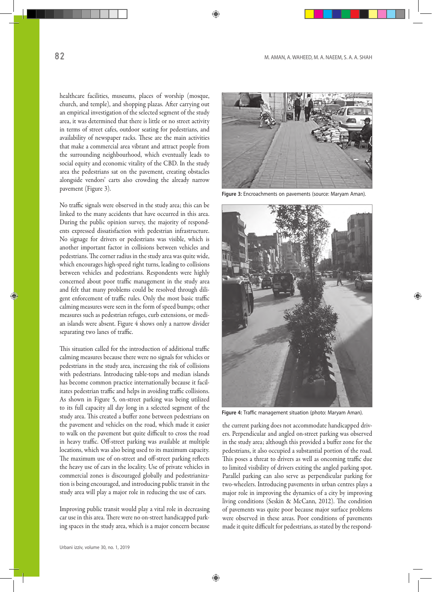healthcare facilities, museums, places of worship (mosque, church, and temple), and shopping plazas. After carrying out an empirical investigation of the selected segment of the study area, it was determined that there is little or no street activity in terms of street cafes, outdoor seating for pedestrians, and availability of newspaper racks. These are the main activities that make a commercial area vibrant and attract people from the surrounding neighbourhood, which eventually leads to social equity and economic vitality of the CBD. In the study area the pedestrians sat on the pavement, creating obstacles alongside vendors' carts also crowding the already narrow pavement (Figure 3).

No traffic signals were observed in the study area; this can be linked to the many accidents that have occurred in this area. During the public opinion survey, the majority of respondents expressed dissatisfaction with pedestrian infrastructure. No signage for drivers or pedestrians was visible, which is another important factor in collisions between vehicles and pedestrians. The corner radius in the study area was quite wide, which encourages high-speed right turns, leading to collisions between vehicles and pedestrians. Respondents were highly concerned about poor traffic management in the study area and felt that many problems could be resolved through diligent enforcement of traffic rules. Only the most basic traffic calming measures were seen in the form of speed bumps; other measures such as pedestrian refuges, curb extensions, or median islands were absent. Figure 4 shows only a narrow divider separating two lanes of traffic.

This situation called for the introduction of additional traffic calming measures because there were no signals for vehicles or pedestrians in the study area, increasing the risk of collisions with pedestrians. Introducing table-tops and median islands has become common practice internationally because it facilitates pedestrian traffic and helps in avoiding traffic collisions. As shown in Figure 5, on-street parking was being utilized to its full capacity all day long in a selected segment of the study area. This created a buffer zone between pedestrians on the pavement and vehicles on the road, which made it easier to walk on the pavement but quite difficult to cross the road in heavy traffic. Off-street parking was available at multiple locations, which was also being used to its maximum capacity. The maximum use of on-street and off-street parking reflects the heavy use of cars in the locality. Use of private vehicles in commercial zones is discouraged globally and pedestrianization is being encouraged, and introducing public transit in the study area will play a major role in reducing the use of cars.

Improving public transit would play a vital role in decreasing car use in this area. There were no on-street handicapped parking spaces in the study area, which is a major concern because



**Figure 3:** Encroachments on pavements (source: Maryam Aman).



**Figure 4:** Traffic management situation (photo: Maryam Aman).

the current parking does not accommodate handicapped drivers. Perpendicular and angled on-street parking was observed in the study area; although this provided a buffer zone for the pedestrians, it also occupied a substantial portion of the road. This poses a threat to drivers as well as oncoming traffic due to limited visibility of drivers exiting the angled parking spot. Parallel parking can also serve as perpendicular parking for two-wheelers. Introducing pavements in urban centres plays a major role in improving the dynamics of a city by improving living conditions (Seskin & McCann, 2012). The condition of pavements was quite poor because major surface problems were observed in these areas. Poor conditions of pavements made it quite difficult for pedestrians, as stated by the respond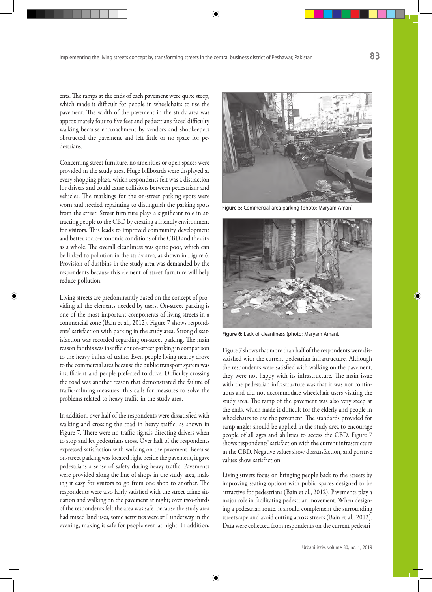ents. The ramps at the ends of each pavement were quite steep, which made it difficult for people in wheelchairs to use the pavement. The width of the pavement in the study area was approximately four to five feet and pedestrians faced difficulty walking because encroachment by vendors and shopkeepers obstructed the pavement and left little or no space for pedestrians.

Concerning street furniture, no amenities or open spaces were provided in the study area. Huge billboards were displayed at every shopping plaza, which respondents felt was a distraction for drivers and could cause collisions between pedestrians and vehicles. The markings for the on-street parking spots were worn and needed repainting to distinguish the parking spots from the street. Street furniture plays a significant role in attracting people to the CBD by creating a friendly environment for visitors. This leads to improved community development and better socio-economic conditions of the CBD and the city as a whole. The overall cleanliness was quite poor, which can be linked to pollution in the study area, as shown in Figure 6. Provision of dustbins in the study area was demanded by the respondents because this element of street furniture will help reduce pollution.

Living streets are predominantly based on the concept of providing all the elements needed by users. On-street parking is one of the most important components of living streets in a commercial zone (Bain et al., 2012). Figure 7 shows respondents' satisfaction with parking in the study area. Strong dissatisfaction was recorded regarding on-street parking. The main reason for this was insufficient on-street parking in comparison to the heavy influx of traffic. Even people living nearby drove to the commercial area because the public transport system was insufficient and people preferred to drive. Difficulty crossing the road was another reason that demonstrated the failure of traffic-calming measures; this calls for measures to solve the problems related to heavy traffic in the study area.

In addition, over half of the respondents were dissatisfied with walking and crossing the road in heavy traffic, as shown in Figure 7. There were no traffic signals directing drivers when to stop and let pedestrians cross. Over half of the respondents expressed satisfaction with walking on the pavement. Because on-street parking was located right beside the pavement, it gave pedestrians a sense of safety during heavy traffic. Pavements were provided along the line of shops in the study area, making it easy for visitors to go from one shop to another. The respondents were also fairly satisfied with the street crime situation and walking on the pavement at night; over two-thirds of the respondents felt the area was safe. Because the study area had mixed land uses, some activities were still underway in the evening, making it safe for people even at night. In addition,



**Figure 5:** Commercial area parking (photo: Maryam Aman).



**Figure 6:** Lack of cleanliness (photo: Maryam Aman).

Figure 7 shows that more than half of the respondents were dissatisfied with the current pedestrian infrastructure. Although the respondents were satisfied with walking on the pavement, they were not happy with its infrastructure. The main issue with the pedestrian infrastructure was that it was not continuous and did not accommodate wheelchair users visiting the study area. The ramp of the pavement was also very steep at the ends, which made it difficult for the elderly and people in wheelchairs to use the pavement. The standards provided for ramp angles should be applied in the study area to encourage people of all ages and abilities to access the CBD. Figure 7 shows respondents' satisfaction with the current infrastructure in the CBD. Negative values show dissatisfaction, and positive values show satisfaction.

Living streets focus on bringing people back to the streets by improving seating options with public spaces designed to be attractive for pedestrians (Bain et al., 2012). Pavements play a major role in facilitating pedestrian movement. When designing a pedestrian route, it should complement the surrounding streetscape and avoid cutting across streets (Bain et al., 2012). Data were collected from respondents on the current pedestri-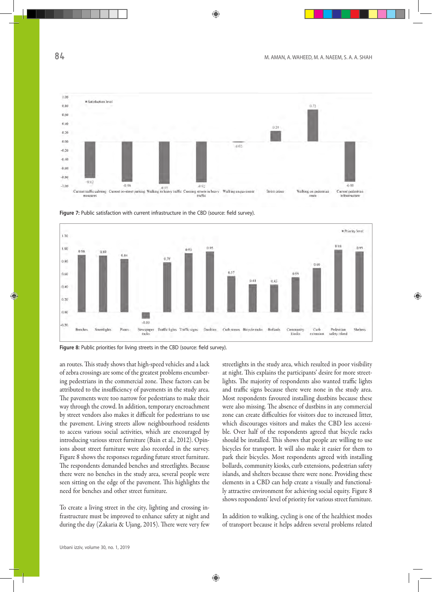





**Figure 8:** Public priorities for living streets in the CBD (source: field survey).

an routes. This study shows that high-speed vehicles and a lack of zebra crossings are some of the greatest problems encumbering pedestrians in the commercial zone. These factors can be attributed to the insufficiency of pavements in the study area. The pavements were too narrow for pedestrians to make their way through the crowd. In addition, temporary encroachment by street vendors also makes it difficult for pedestrians to use the pavement. Living streets allow neighbourhood residents to access various social activities, which are encouraged by introducing various street furniture (Bain et al., 2012). Opinions about street furniture were also recorded in the survey. Figure 8 shows the responses regarding future street furniture. The respondents demanded benches and streetlights. Because there were no benches in the study area, several people were seen sitting on the edge of the pavement. This highlights the need for benches and other street furniture.

To create a living street in the city, lighting and crossing infrastructure must be improved to enhance safety at night and during the day (Zakaria & Ujang, 2015). There were very few streetlights in the study area, which resulted in poor visibility at night. This explains the participants' desire for more streetlights. The majority of respondents also wanted traffic lights and traffic signs because there were none in the study area. Most respondents favoured installing dustbins because these were also missing. The absence of dustbins in any commercial zone can create difficulties for visitors due to increased litter, which discourages visitors and makes the CBD less accessible. Over half of the respondents agreed that bicycle racks should be installed. This shows that people are willing to use bicycles for transport. It will also make it easier for them to park their bicycles. Most respondents agreed with installing bollards, community kiosks, curb extensions, pedestrian safety islands, and shelters because there were none. Providing these elements in a CBD can help create a visually and functionally attractive environment for achieving social equity. Figure 8 shows respondents' level of priority for various street furniture.

In addition to walking, cycling is one of the healthiest modes of transport because it helps address several problems related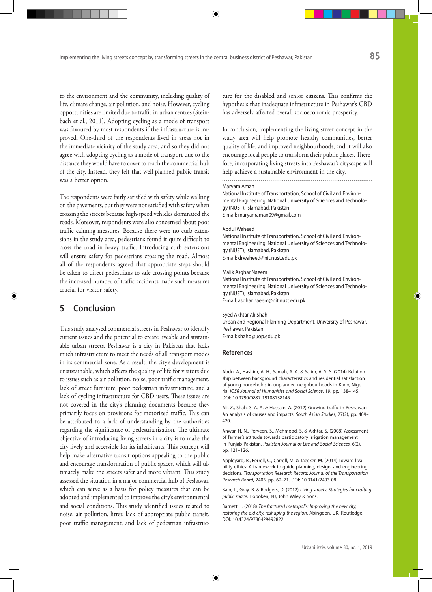to the environment and the community, including quality of life, climate change, air pollution, and noise. However, cycling opportunities are limited due to traffic in urban centres (Steinbach et al., 2011). Adopting cycling as a mode of transport was favoured by most respondents if the infrastructure is improved. One-third of the respondents lived in areas not in the immediate vicinity of the study area, and so they did not agree with adopting cycling as a mode of transport due to the distance they would have to cover to reach the commercial hub of the city. Instead, they felt that well-planned public transit was a better option.

The respondents were fairly satisfied with safety while walking on the pavements, but they were not satisfied with safety when crossing the streets because high-speed vehicles dominated the roads. Moreover, respondents were also concerned about poor traffic calming measures. Because there were no curb extensions in the study area, pedestrians found it quite difficult to cross the road in heavy traffic. Introducing curb extensions will ensure safety for pedestrians crossing the road. Almost all of the respondents agreed that appropriate steps should be taken to direct pedestrians to safe crossing points because the increased number of traffic accidents made such measures crucial for visitor safety.

# **5 Conclusion**

This study analysed commercial streets in Peshawar to identify current issues and the potential to create liveable and sustainable urban streets. Peshawar is a city in Pakistan that lacks much infrastructure to meet the needs of all transport modes in its commercial zone. As a result, the city's development is unsustainable, which affects the quality of life for visitors due to issues such as air pollution, noise, poor traffic management, lack of street furniture, poor pedestrian infrastructure, and a lack of cycling infrastructure for CBD users. These issues are not covered in the city's planning documents because they primarily focus on provisions for motorized traffic. This can be attributed to a lack of understanding by the authorities regarding the significance of pedestrianization. The ultimate objective of introducing living streets in a city is to make the city lively and accessible for its inhabitants. This concept will help make alternative transit options appealing to the public and encourage transformation of public spaces, which will ultimately make the streets safer and more vibrant. This study assessed the situation in a major commercial hub of Peshawar, which can serve as a basis for policy measures that can be adopted and implemented to improve the city's environmental and social conditions. This study identified issues related to noise, air pollution, litter, lack of appropriate public transit, poor traffic management, and lack of pedestrian infrastructure for the disabled and senior citizens. This confirms the hypothesis that inadequate infrastructure in Peshawar's CBD has adversely affected overall socioeconomic prosperity.

In conclusion, implementing the living street concept in the study area will help promote healthy communities, better quality of life, and improved neighbourhoods, and it will also encourage local people to transform their public places. Therefore, incorporating living streets into Peshawar's cityscape will help achieve a sustainable environment in the city.

Maryam Aman

National Institute of Transportation, School of Civil and Environmental Engineering, National University of Sciences and Technology (NUST), Islamabad, Pakistan E-mail: maryamaman09@gmail.com

#### Abdul Waheed

National Institute of Transportation, School of Civil and Environmental Engineering, National University of Sciences and Technology (NUST), Islamabad, Pakistan E-mail: drwaheed@nit.nust.edu.pk

#### Malik Asghar Naeem

National Institute of Transportation, School of Civil and Environmental Engineering, National University of Sciences and Technology (NUST), Islamabad, Pakistan E-mail: asghar.naeem@nit.nust.edu.pk

#### Syed Akhtar Ali Shah

Urban and Regional Planning Department, University of Peshawar, Peshawar, Pakistan E-mail: shahg@uop.edu.pk

#### **References**

Abdu, A., Hashim, A. H., Samah, A. A. & Salim, A. S. S. (2014) Relationship between background characteristics and residential satisfaction of young households in unplanned neighbourhoods in Kano, Nigeria. *IOSR Journal of Humanities and Social Science*, 19, pp. 138–145. DOI: 10.9790/0837-19108138145

Ali, Z., Shah, S. A. A. & Hussain, A. (2012) Growing traffic in Peshawar: An analysis of causes and impacts. *South Asian Studies*, 27(2), pp. 409– 420.

Anwar, H. N., Perveen, S., Mehmood, S. & Akhtar, S. (2008) Assessment of farmer's attitude towards participatory irrigation management in Punjab-Pakistan. *Pakistan Journal of Life and Social Sciences*, 6(2), pp. 121–126.

Appleyard, B., Ferrell, C., Carroll, M. & Taecker, M. (2014) Toward livability ethics: A framework to guide planning, design, and engineering decisions. *Transportation Research Record: Journal of the Transportation Research Board*, 2403, pp. 62–71. DOI: 10.3141/2403-08

Bain, L., Gray, B. & Rodgers, D. (2012) *Living streets: Strategies for crafting public space*. Hoboken, NJ, John Wiley & Sons.

Barnett, J. (2018) *The fractured metropolis: Improving the new city, restoring the old city, reshaping the region*. Abingdon, UK, Routledge. DOI: 10.4324/9780429492822